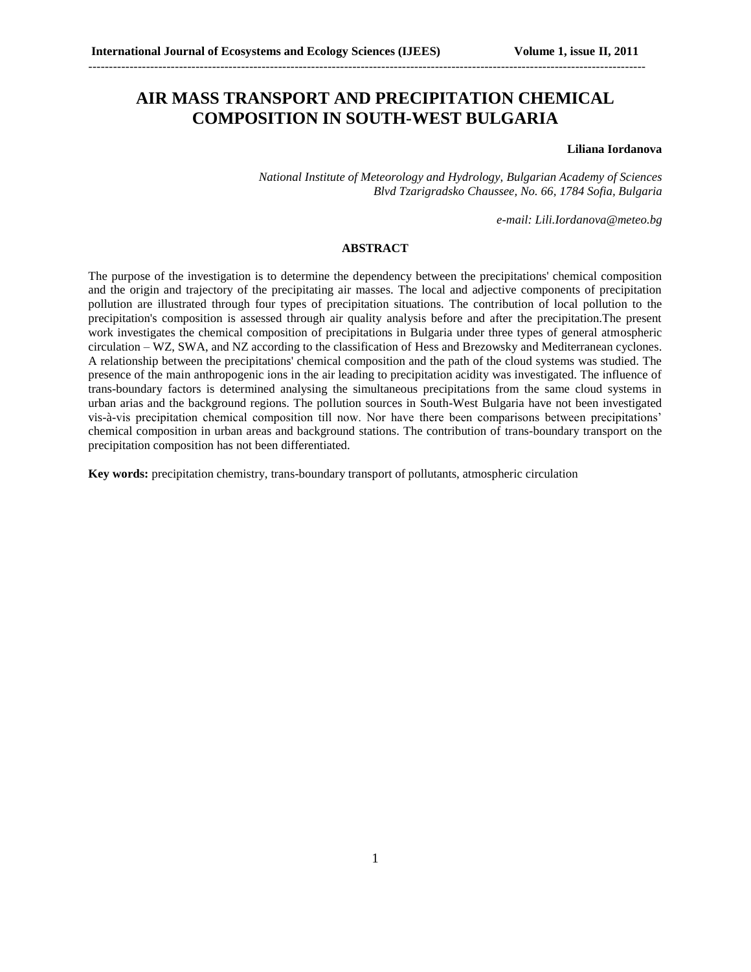## **AIR MASS TRANSPORT AND PRECIPITATION CHEMICAL COMPOSITION IN SOUTH-WEST BULGARIA**

---------------------------------------------------------------------------------------------------------------------------------------

### **Liliana Iordanova**

*National Institute of Meteorology and Hydrology, Bulgarian Academy of Sciences Blvd Tzarigradsko Chaussee, No. 66, 1784 Sofia, Bulgaria*

*e-mail: Lili.Iordanova@meteo.bg*

#### **ABSTRACT**

The purpose of the investigation is to determine the dependency between the precipitations' chemical composition and the origin and trajectory of the precipitating air masses. The local and adjective components of precipitation pollution are illustrated through four types of precipitation situations. The contribution of local pollution to the precipitation's composition is assessed through air quality analysis before and after the precipitation.The present work investigates the chemical composition of precipitations in Bulgaria under three types of general atmospheric circulation – WZ, SWA, and NZ according to the classification of Hess and Brezowsky and Mediterranean cyclones. A relationship between the precipitations' chemical composition and the path of the cloud systems was studied. The presence of the main anthropogenic ions in the air leading to precipitation acidity was investigated. The influence of trans-boundary factors is determined analysing the simultaneous precipitations from the same cloud systems in urban arias and the background regions. The pollution sources in South-West Bulgaria have not been investigated vis-à-vis precipitation chemical composition till now. Nor have there been comparisons between precipitations' chemical composition in urban areas and background stations. The contribution of trans-boundary transport on the precipitation composition has not been differentiated.

**Key words:** precipitation chemistry, trans-boundary transport of pollutants, atmospheric circulation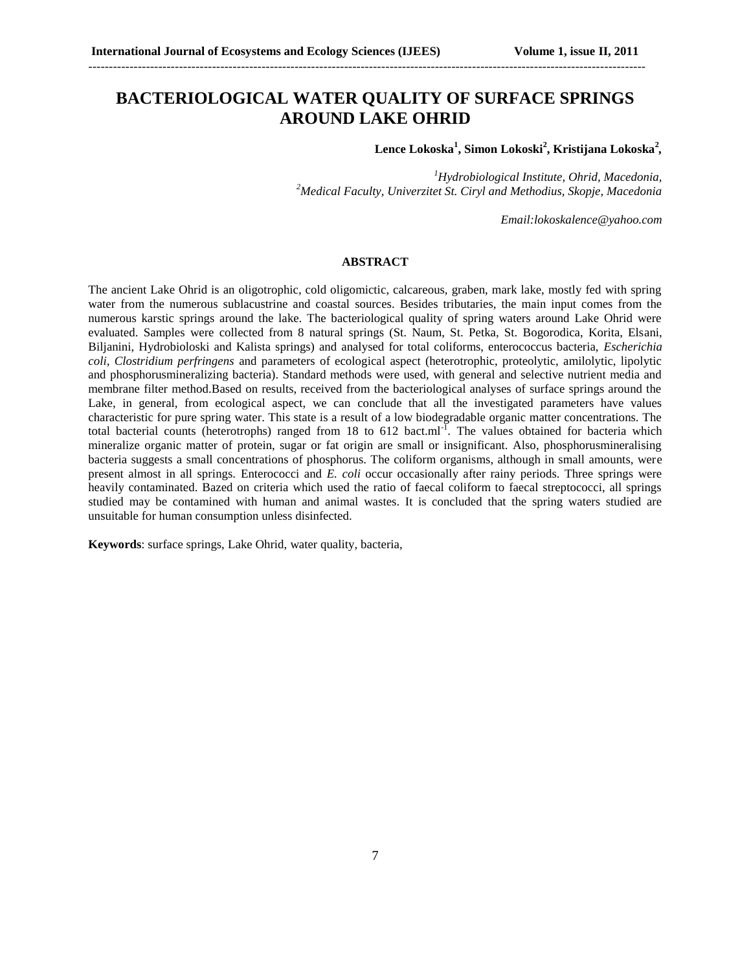### **BACTERIOLOGICAL WATER QUALITY OF SURFACE SPRINGS AROUND LAKE OHRID**

---------------------------------------------------------------------------------------------------------------------------------------

**Lence Lokoska<sup>1</sup> , Simon Lokoski<sup>2</sup> , Kristijana Lokoska<sup>2</sup>** *,*

*<sup>1</sup>Hydrobiological Institute, Ohrid, Macedonia, <sup>2</sup>Medical Faculty, Univerzitet St. Ciryl and Methodius, Skopje, Macedonia*

*Email[:lokoskalence@yahoo.com](mailto:lokoskalence@yahoo.com)*

#### **ABSTRACT**

The ancient Lake Ohrid is an oligotrophic, cold oligomictic, calcareous, graben, mark lake, mostly fed with spring water from the numerous sublacustrine and coastal sources. Besides tributaries, the main input comes from the numerous karstic springs around the lake. The bacteriological quality of spring waters around Lake Ohrid were evaluated. Samples were collected from 8 natural springs (St. Naum, St. Petka, St. Bogorodica, Korita, Elsani, Biljanini, Hydrobioloski and Kalista springs) and analysed for total coliforms, enterococcus bacteria, *Escherichia coli, Clostridium perfringens* and parameters of ecological aspect (heterotrophic, proteolytic, amilolytic, lipolytic and phosphorusmineralizing bacteria). Standard methods were used, with general and selective nutrient media and membrane filter method.Based on results, received from the bacteriological analyses of surface springs around the Lake, in general, from ecological aspect, we can conclude that all the investigated parameters have values characteristic for pure spring water. This state is a result of a low biodegradable organic matter concentrations. The total bacterial counts (heterotrophs) ranged from 18 to 612 bact.ml<sup>-1</sup>. The values obtained for bacteria which mineralize organic matter of protein, sugar or fat origin are small or insignificant. Also, phosphorusmineralising bacteria suggests a small concentrations of phosphorus. The coliform organisms, although in small amounts, were present almost in all springs. Enterococci and *E. coli* occur occasionally after rainy periods. Three springs were heavily contaminated. Bazed on criteria which used the ratio of faecal coliform to faecal streptococci, all springs studied may be contamined with human and animal wastes. It is concluded that the spring waters studied are unsuitable for human consumption unless disinfected.

**Keywords**: surface springs, Lake Ohrid, water quality, bacteria,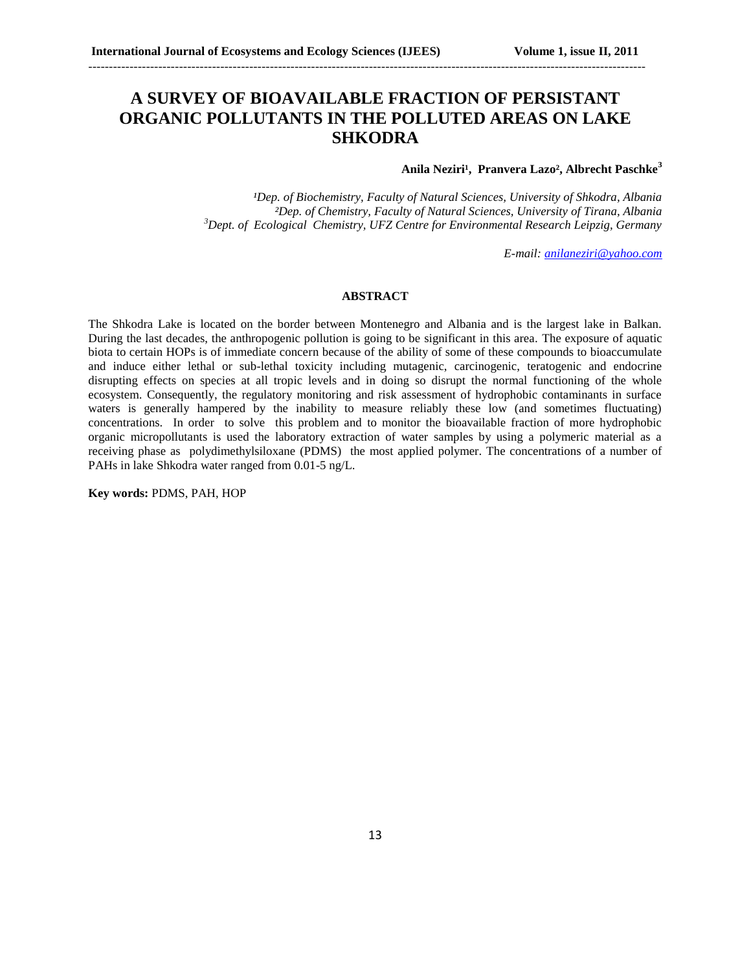## **A SURVEY OF BIOAVAILABLE FRACTION OF PERSISTANT ORGANIC POLLUTANTS IN THE POLLUTED AREAS ON LAKE SHKODRA**

---------------------------------------------------------------------------------------------------------------------------------------

### Anila Neziri<sup>1</sup>, Pranvera Lazo<sup>2</sup>, Albrecht Paschke<sup>3</sup>

<sup>1</sup>Dep. of Biochemistry, Faculty of Natural Sciences, University of Shkodra, Albania *²Dep. of Chemistry, Faculty of Natural Sciences, University of Tirana, Albania <sup>3</sup>Dept. of Ecological Chemistry, UFZ Centre for Environmental Research Leipzig, Germany*

*E-mail: [anilaneziri@yahoo.com](mailto:anilaneziri@yahoo.com)*

#### **ABSTRACT**

The Shkodra Lake is located on the border between Montenegro and Albania and is the largest lake in Balkan. During the last decades, the anthropogenic pollution is going to be significant in this area. The exposure of aquatic biota to certain HOPs is of immediate concern because of the ability of some of these compounds to bioaccumulate and induce either lethal or sub-lethal toxicity including mutagenic, carcinogenic, teratogenic and endocrine disrupting effects on species at all tropic levels and in doing so disrupt the normal functioning of the whole ecosystem. Consequently, the regulatory monitoring and risk assessment of hydrophobic contaminants in surface waters is generally hampered by the inability to measure reliably these low (and sometimes fluctuating) concentrations. In order to solve this problem and to monitor the bioavailable fraction of more hydrophobic organic micropollutants is used the laboratory extraction of water samples by using a polymeric material as a receiving phase as polydimethylsiloxane (PDMS) the most applied polymer. The concentrations of a number of PAHs in lake Shkodra water ranged from 0.01-5 ng/L.

**Key words:** PDMS, PAH, HOP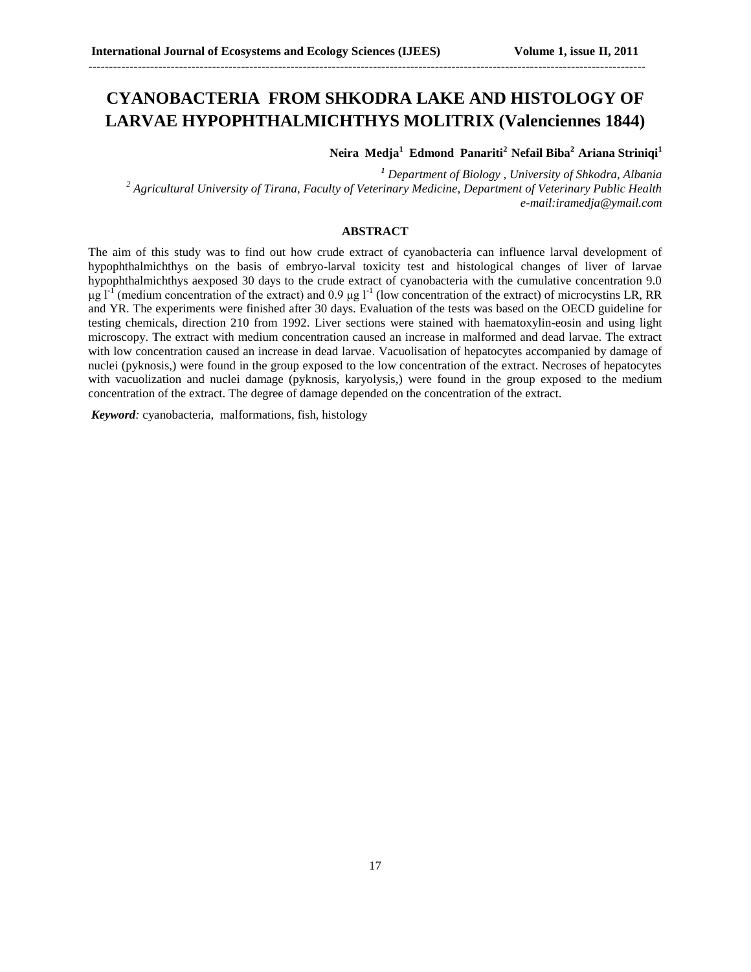# **CYANOBACTERIA FROM SHKODRA LAKE AND HISTOLOGY OF LARVAE HYPOPHTHALMICHTHYS MOLITRIX (Valenciennes 1844)**

---------------------------------------------------------------------------------------------------------------------------------------

**Neira Medja<sup>1</sup> Edmond Panariti<sup>2</sup>Nefail Biba<sup>2</sup>Ariana Striniqi<sup>1</sup>**

*<sup>1</sup> Department of Biology , University of Shkodra, Albania <sup>2</sup> Agricultural University of Tirana, Faculty of Veterinary Medicine, Department of Veterinary Public Health e-mail:iramedja@ymail.com*

### **ABSTRACT**

The aim of this study was to find out how crude extract of cyanobacteria can influence larval development of hypophthalmichthys on the basis of embryo-larval toxicity test and histological changes of liver of larvae hypophthalmichthys aexposed 30 days to the crude extract of cyanobacteria with the cumulative concentration 9.0 μg  $1<sup>-1</sup>$  (medium concentration of the extract) and 0.9 μg  $1<sup>-1</sup>$  (low concentration of the extract) of microcystins LR, RR and YR. The experiments were finished after 30 days. Evaluation of the tests was based on the OECD guideline for testing chemicals, direction 210 from 1992. Liver sections were stained with haematoxylin-eosin and using light microscopy. The extract with medium concentration caused an increase in malformed and dead larvae. The extract with low concentration caused an increase in dead larvae. Vacuolisation of hepatocytes accompanied by damage of nuclei (pyknosis,) were found in the group exposed to the low concentration of the extract. Necroses of hepatocytes with vacuolization and nuclei damage (pyknosis, karyolysis,) were found in the group exposed to the medium concentration of the extract. The degree of damage depended on the concentration of the extract.

*Keyword:* cyanobacteria, malformations, fish, histology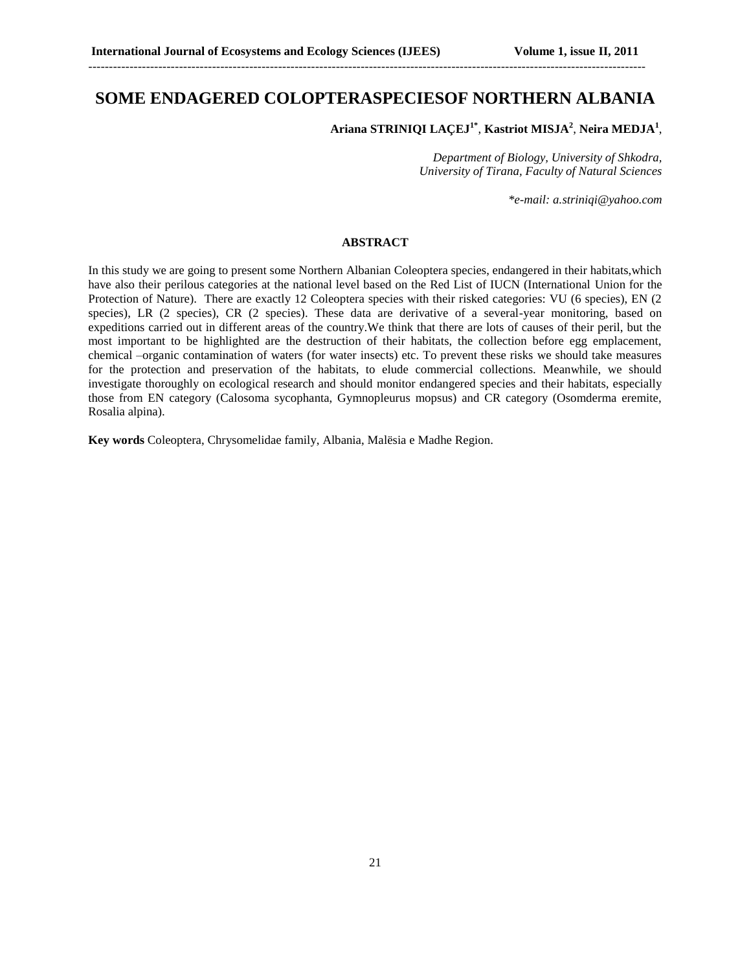### **SOME ENDAGERED COLOPTERASPECIESOF NORTHERN ALBANIA**

---------------------------------------------------------------------------------------------------------------------------------------

**Ariana STRINIQI LAÇEJ1\*** , **Kastriot MISJA<sup>2</sup>** , **Neira MEDJA<sup>1</sup>** ,

*Department of Biology, University of Shkodra, University of Tirana, Faculty of Natural Sciences*

*\*e-mail: [a.striniqi@yahoo.com](mailto:a.striniqi@yahoo.com)*

#### **ABSTRACT**

In this study we are going to present some Northern Albanian Coleoptera species, endangered in their habitats,which have also their perilous categories at the national level based on the Red List of IUCN (International Union for the Protection of Nature). There are exactly 12 Coleoptera species with their risked categories: VU (6 species), EN (2 species), LR (2 species), CR (2 species). These data are derivative of a several-year monitoring, based on expeditions carried out in different areas of the country.We think that there are lots of causes of their peril, but the most important to be highlighted are the destruction of their habitats, the collection before egg emplacement, chemical –organic contamination of waters (for water insects) etc. To prevent these risks we should take measures for the protection and preservation of the habitats, to elude commercial collections. Meanwhile, we should investigate thoroughly on ecological research and should monitor endangered species and their habitats, especially those from EN category (Calosoma sycophanta, Gymnopleurus mopsus) and CR category (Osomderma eremite, Rosalia alpina).

**Key words** Coleoptera, Chrysomelidae family, Albania, Malësia e Madhe Region.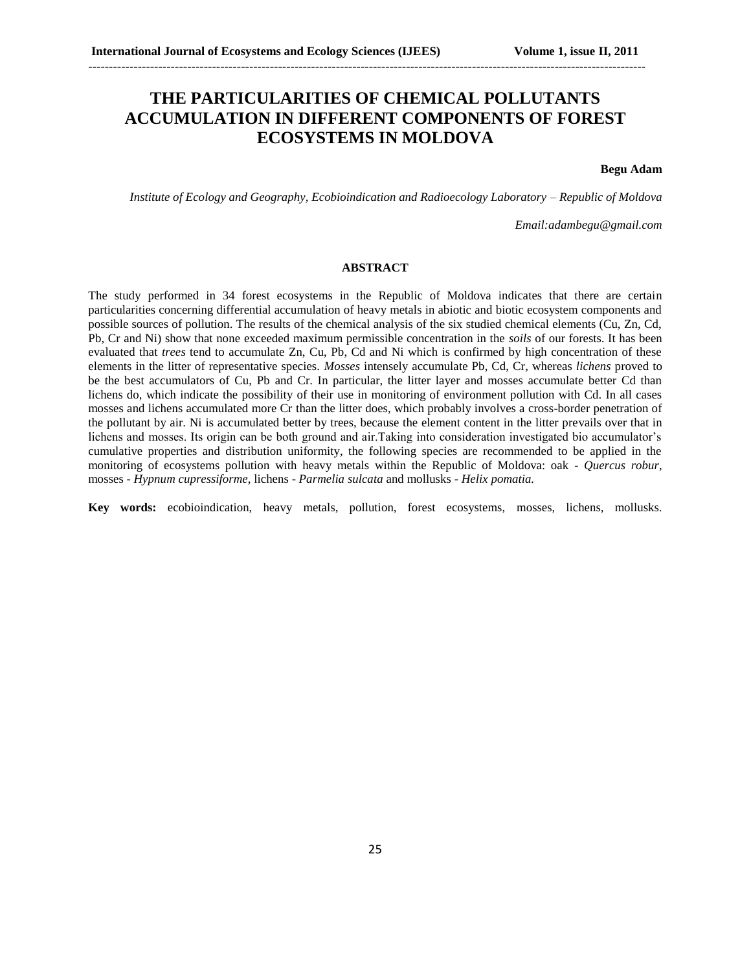## **THE PARTICULARITIES OF CHEMICAL POLLUTANTS ACCUMULATION IN DIFFERENT COMPONENTS OF FOREST ECOSYSTEMS IN MOLDOVA**

---------------------------------------------------------------------------------------------------------------------------------------

**Begu Adam**

*Institute of Ecology and Geography, Ecobioindication and Radioecology Laboratory – Republic of Moldova*

*Email:adambegu@gmail.com*

#### **ABSTRACT**

The study performed in 34 forest ecosystems in the Republic of Moldova indicates that there are certain particularities concerning differential accumulation of heavy metals in abiotic and biotic ecosystem components and possible sources of pollution. The results of the chemical analysis of the six studied chemical elements (Cu, Zn, Cd, Pb, Cr and Ni) show that none exceeded maximum permissible concentration in the *soils* of our forests. It has been evaluated that *trees* tend to accumulate Zn, Cu, Pb, Cd and Ni which is confirmed by high concentration of these elements in the litter of representative species. *Mosses* intensely accumulate Pb, Cd, Cr*,* whereas *lichens* proved to be the best accumulators of Cu, Pb and Cr. In particular, the litter layer and mosses accumulate better Cd than lichens do, which indicate the possibility of their use in monitoring of environment pollution with Cd. In all cases mosses and lichens accumulated more Cr than the litter does, which probably involves a cross-border penetration of the pollutant by air. Ni is accumulated better by trees, because the element content in the litter prevails over that in lichens and mosses. Its origin can be both ground and air.Taking into consideration investigated bio accumulator's cumulative properties and distribution uniformity, the following species are recommended to be applied in the monitoring of ecosystems pollution with heavy metals within the Republic of Moldova: oak - *Quercus robur*, mosses - *Hypnum cupressiforme*, lichens - *Parmelia sulcata* and mollusks - *Helix pomatia.*

**Key words:** ecobioindication, heavy metals, pollution, forest ecosystems, mosses, lichens, mollusks.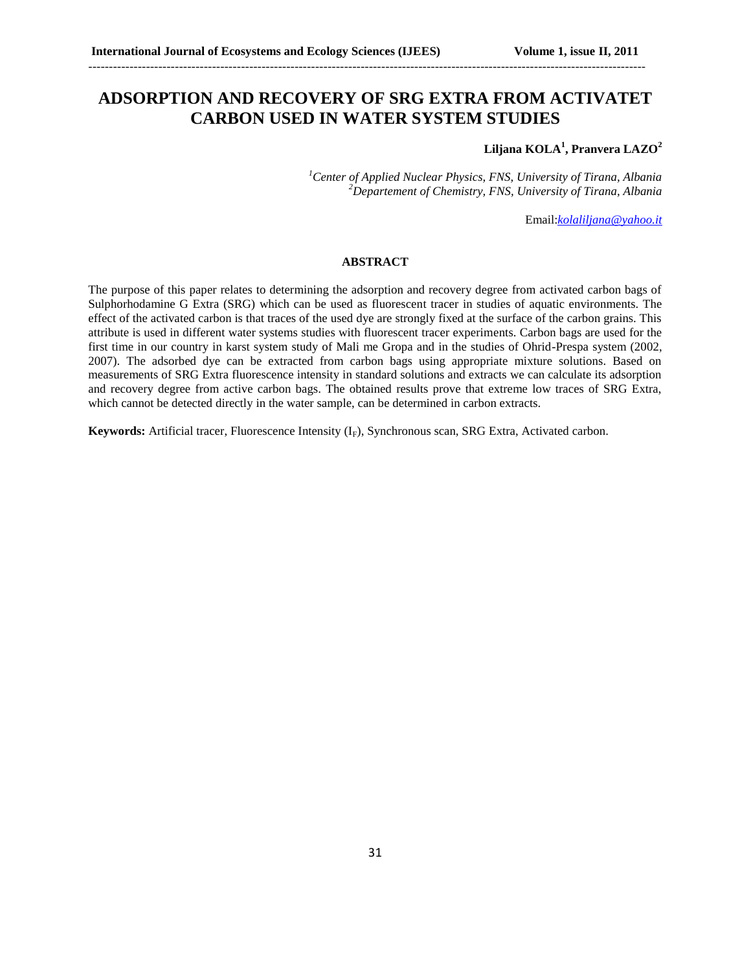## **ADSORPTION AND RECOVERY OF SRG EXTRA FROM ACTIVATET CARBON USED IN WATER SYSTEM STUDIES**

---------------------------------------------------------------------------------------------------------------------------------------

### **Liljana KOLA<sup>1</sup> , Pranvera LAZO<sup>2</sup>**

*<sup>1</sup>Center of Applied Nuclear Physics, FNS, University of Tirana, Albania <sup>2</sup>Departement of Chemistry, FNS, University of Tirana, Albania*

Email:*[kolaliljana@yahoo.it](mailto:kolaliljana@yahoo.it)*

#### **ABSTRACT**

The purpose of this paper relates to determining the adsorption and recovery degree from activated carbon bags of Sulphorhodamine G Extra (SRG) which can be used as fluorescent tracer in studies of aquatic environments. The effect of the activated carbon is that traces of the used dye are strongly fixed at the surface of the carbon grains. This attribute is used in different water systems studies with fluorescent tracer experiments. Carbon bags are used for the first time in our country in karst system study of Mali me Gropa and in the studies of Ohrid-Prespa system (2002, 2007). The adsorbed dye can be extracted from carbon bags using appropriate mixture solutions. Based on measurements of SRG Extra fluorescence intensity in standard solutions and extracts we can calculate its adsorption and recovery degree from active carbon bags. The obtained results prove that extreme low traces of SRG Extra, which cannot be detected directly in the water sample, can be determined in carbon extracts.

**Keywords:** Artificial tracer, Fluorescence Intensity (I<sub>F</sub>), Synchronous scan, SRG Extra, Activated carbon.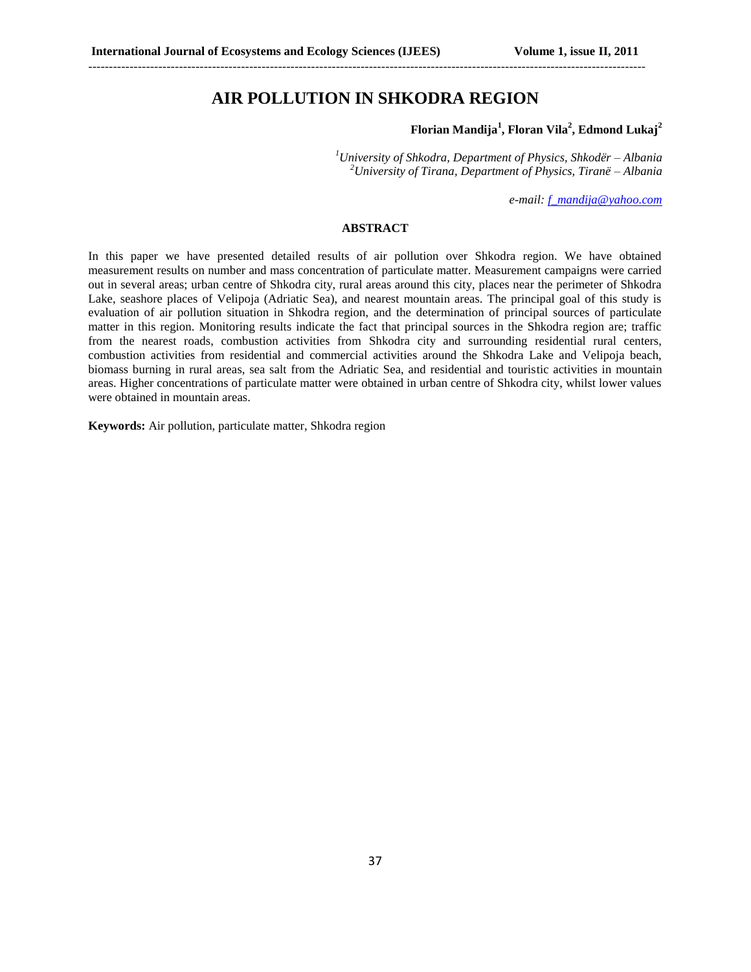### **AIR POLLUTION IN SHKODRA REGION**

---------------------------------------------------------------------------------------------------------------------------------------

### **Florian Mandija<sup>1</sup> , Floran Vila<sup>2</sup> , Edmond Lukaj<sup>2</sup>**

*<sup>1</sup>University of Shkodra, Department of Physics, Shkodër – Albania <sup>2</sup>University of Tirana, Department of Physics, Tiranë – Albania*

*e-mail[: f\\_mandija@yahoo.com](mailto:f_mandija@yahoo.com)*

### **ABSTRACT**

In this paper we have presented detailed results of air pollution over Shkodra region. We have obtained measurement results on number and mass concentration of particulate matter. Measurement campaigns were carried out in several areas; urban centre of Shkodra city, rural areas around this city, places near the perimeter of Shkodra Lake, seashore places of Velipoja (Adriatic Sea), and nearest mountain areas. The principal goal of this study is evaluation of air pollution situation in Shkodra region, and the determination of principal sources of particulate matter in this region. Monitoring results indicate the fact that principal sources in the Shkodra region are; traffic from the nearest roads, combustion activities from Shkodra city and surrounding residential rural centers, combustion activities from residential and commercial activities around the Shkodra Lake and Velipoja beach, biomass burning in rural areas, sea salt from the Adriatic Sea, and residential and touristic activities in mountain areas. Higher concentrations of particulate matter were obtained in urban centre of Shkodra city, whilst lower values were obtained in mountain areas.

**Keywords:** Air pollution, particulate matter, Shkodra region